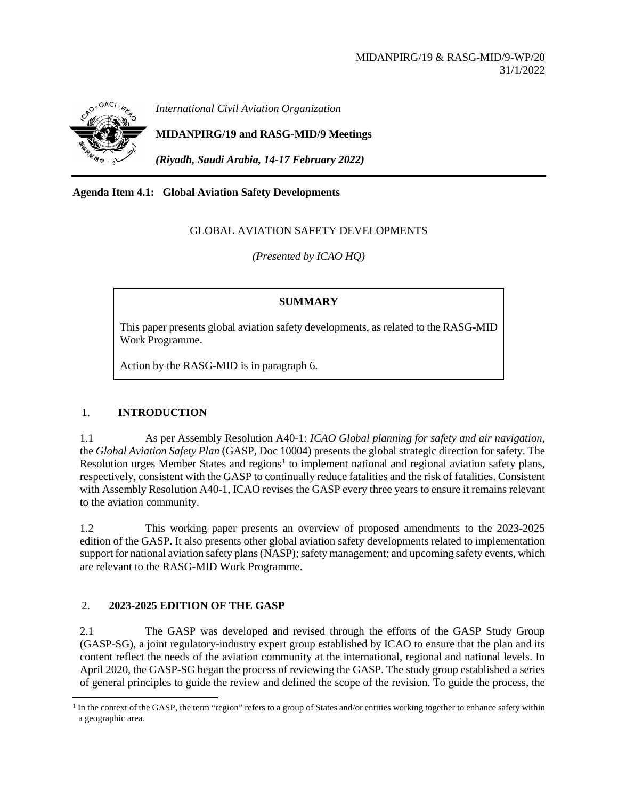

*International Civil Aviation Organization*

**MIDANPIRG/19 and RASG-MID/9 Meetings**

*(Riyadh, Saudi Arabia, 14-17 February 2022)*

# **Agenda Item 4.1: Global Aviation Safety Developments**

# GLOBAL AVIATION SAFETY DEVELOPMENTS

*(Presented by ICAO HQ)*

### **SUMMARY**

This paper presents global aviation safety developments, as related to the RASG-MID Work Programme.

Action by the RASG-MID is in paragraph 6.

# 1. **INTRODUCTION**

1.1 As per Assembly Resolution A40-1: *ICAO Global planning for safety and air navigation*, the *Global Aviation Safety Plan* (GASP, Doc 10004) presents the global strategic direction for safety. The Resolution urges Member States and regions<sup>[1](#page-0-0)</sup> to implement national and regional aviation safety plans, respectively, consistent with the GASP to continually reduce fatalities and the risk of fatalities. Consistent with Assembly Resolution A40-1, ICAO revises the GASP every three years to ensure it remains relevant to the aviation community.

1.2 This working paper presents an overview of proposed amendments to the 2023-2025 edition of the GASP. It also presents other global aviation safety developments related to implementation support for national aviation safety plans (NASP); safety management; and upcoming safety events, which are relevant to the RASG-MID Work Programme.

# 2. **2023-2025 EDITION OF THE GASP**

2.1 The GASP was developed and revised through the efforts of the GASP Study Group (GASP-SG), a joint regulatory-industry expert group established by ICAO to ensure that the plan and its content reflect the needs of the aviation community at the international, regional and national levels. In April 2020, the GASP-SG began the process of reviewing the GASP. The study group established a series of general principles to guide the review and defined the scope of the revision. To guide the process, the

<span id="page-0-0"></span> $<sup>1</sup>$  In the context of the GASP, the term "region" refers to a group of States and/or entities working together to enhance safety within</sup> a geographic area.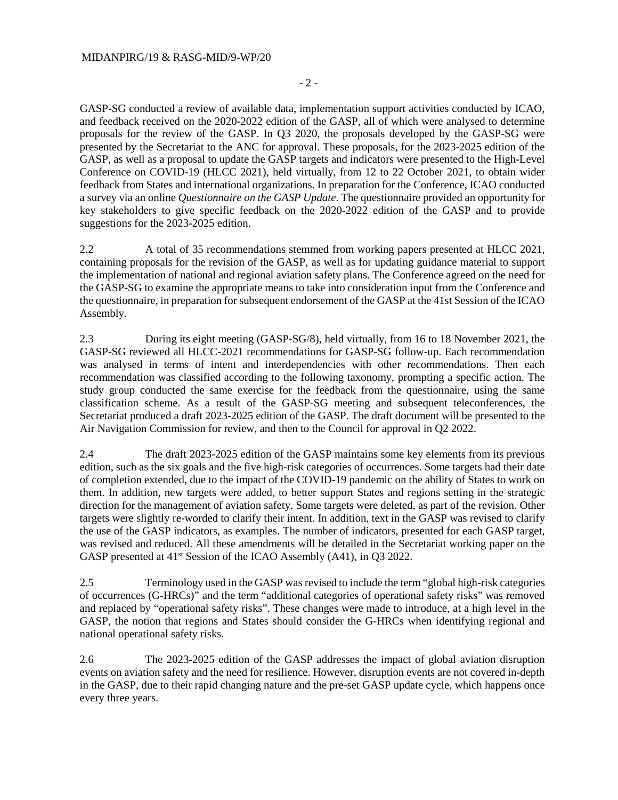GASP-SG conducted a review of available data, implementation support activities conducted by ICAO, and feedback received on the 2020-2022 edition of the GASP, all of which were analysed to determine proposals for the review of the GASP. In Q3 2020, the proposals developed by the GASP-SG were presented by the Secretariat to the ANC for approval. These proposals, for the 2023-2025 edition of the GASP, as well as a proposal to update the GASP targets and indicators were presented to the High-Level Conference on COVID-19 (HLCC 2021), held virtually, from 12 to 22 October 2021, to obtain wider feedback from States and international organizations. In preparation for the Conference, ICAO conducted a survey via an online *Questionnaire on the GASP Update*. The questionnaire provided an opportunity for key stakeholders to give specific feedback on the 2020-2022 edition of the GASP and to provide suggestions for the 2023-2025 edition.

2.2 A total of 35 recommendations stemmed from working papers presented at HLCC 2021, containing proposals for the revision of the GASP, as well as for updating guidance material to support the implementation of national and regional aviation safety plans. The Conference agreed on the need for the GASP-SG to examine the appropriate means to take into consideration input from the Conference and the questionnaire, in preparation for subsequent endorsement of the GASP at the 41st Session of the ICAO Assembly.

2.3 During its eight meeting (GASP-SG/8), held virtually, from 16 to 18 November 2021, the GASP-SG reviewed all HLCC-2021 recommendations for GASP-SG follow-up. Each recommendation was analysed in terms of intent and interdependencies with other recommendations. Then each recommendation was classified according to the following taxonomy, prompting a specific action. The study group conducted the same exercise for the feedback from the questionnaire, using the same classification scheme. As a result of the GASP-SG meeting and subsequent teleconferences, the Secretariat produced a draft 2023-2025 edition of the GASP. The draft document will be presented to the Air Navigation Commission for review, and then to the Council for approval in Q2 2022.

2.4 The draft 2023-2025 edition of the GASP maintains some key elements from its previous edition, such as the six goals and the five high-risk categories of occurrences. Some targets had their date of completion extended, due to the impact of the COVID-19 pandemic on the ability of States to work on them. In addition, new targets were added, to better support States and regions setting in the strategic direction for the management of aviation safety. Some targets were deleted, as part of the revision. Other targets were slightly re-worded to clarify their intent. In addition, text in the GASP was revised to clarify the use of the GASP indicators, as examples. The number of indicators, presented for each GASP target, was revised and reduced. All these amendments will be detailed in the Secretariat working paper on the GASP presented at 41<sup>st</sup> Session of the ICAO Assembly (A41), in Q3 2022.

2.5 Terminology used in the GASP was revised to include the term "global high-risk categories of occurrences (G-HRCs)" and the term "additional categories of operational safety risks" was removed and replaced by "operational safety risks". These changes were made to introduce, at a high level in the GASP, the notion that regions and States should consider the G-HRCs when identifying regional and national operational safety risks.

2.6 The 2023-2025 edition of the GASP addresses the impact of global aviation disruption events on aviation safety and the need for resilience. However, disruption events are not covered in-depth in the GASP, due to their rapid changing nature and the pre-set GASP update cycle, which happens once every three years.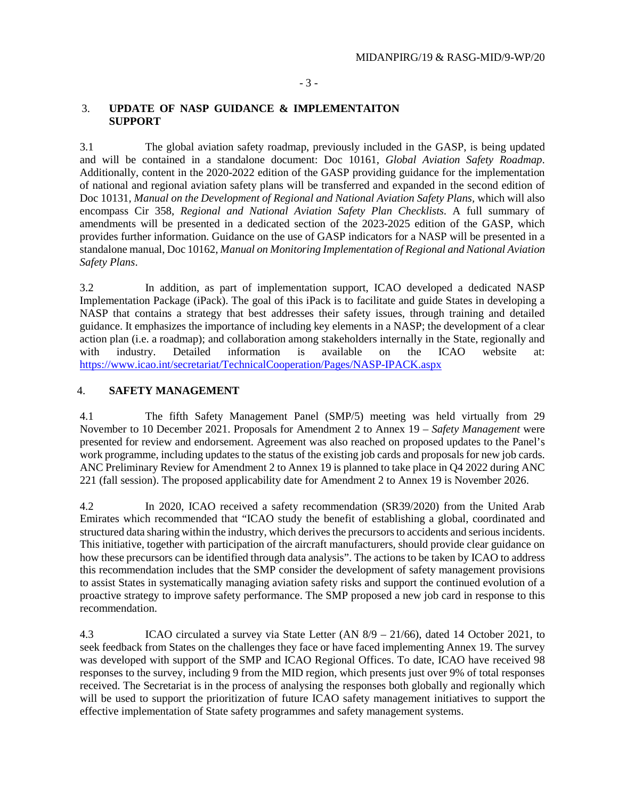#### - 3 -

#### 3. **UPDATE OF NASP GUIDANCE & IMPLEMENTAITON SUPPORT**

3.1 The global aviation safety roadmap, previously included in the GASP, is being updated and will be contained in a standalone document: Doc 10161, *Global Aviation Safety Roadmap*. Additionally, content in the 2020-2022 edition of the GASP providing guidance for the implementation of national and regional aviation safety plans will be transferred and expanded in the second edition of Doc 10131, *Manual on the Development of Regional and National Aviation Safety Plans, which will also* encompass Cir 358, *Regional and National Aviation Safety Plan Checklists*. A full summary of amendments will be presented in a dedicated section of the 2023-2025 edition of the GASP, which provides further information. Guidance on the use of GASP indicators for a NASP will be presented in a standalone manual, Doc 10162, *Manual on Monitoring Implementation of Regional and National Aviation Safety Plans*.

3.2 In addition, as part of implementation support, ICAO developed a dedicated NASP Implementation Package (iPack). The goal of this iPack is to facilitate and guide States in developing a NASP that contains a strategy that best addresses their safety issues, through training and detailed guidance. It emphasizes the importance of including key elements in a NASP; the development of a clear action plan (i.e. a roadmap); and collaboration among stakeholders internally in the State, regionally and with industry. Detailed information is available on the ICAO website at: <https://www.icao.int/secretariat/TechnicalCooperation/Pages/NASP-IPACK.aspx>

### 4. **SAFETY MANAGEMENT**

4.1 The fifth Safety Management Panel (SMP/5) meeting was held virtually from 29 November to 10 December 2021. Proposals for Amendment 2 to Annex 19 – *Safety Management* were presented for review and endorsement. Agreement was also reached on proposed updates to the Panel's work programme, including updates to the status of the existing job cards and proposals for new job cards. ANC Preliminary Review for Amendment 2 to Annex 19 is planned to take place in Q4 2022 during ANC 221 (fall session). The proposed applicability date for Amendment 2 to Annex 19 is November 2026.

4.2 In 2020, ICAO received a safety recommendation (SR39/2020) from the United Arab Emirates which recommended that "ICAO study the benefit of establishing a global, coordinated and structured data sharing within the industry, which derives the precursors to accidents and serious incidents. This initiative, together with participation of the aircraft manufacturers, should provide clear guidance on how these precursors can be identified through data analysis". The actions to be taken by ICAO to address this recommendation includes that the SMP consider the development of safety management provisions to assist States in systematically managing aviation safety risks and support the continued evolution of a proactive strategy to improve safety performance. The SMP proposed a new job card in response to this recommendation.

4.3 ICAO circulated a survey via State Letter (AN 8/9 – 21/66), dated 14 October 2021, to seek feedback from States on the challenges they face or have faced implementing Annex 19. The survey was developed with support of the SMP and ICAO Regional Offices. To date, ICAO have received 98 responses to the survey, including 9 from the MID region, which presents just over 9% of total responses received. The Secretariat is in the process of analysing the responses both globally and regionally which will be used to support the prioritization of future ICAO safety management initiatives to support the effective implementation of State safety programmes and safety management systems.